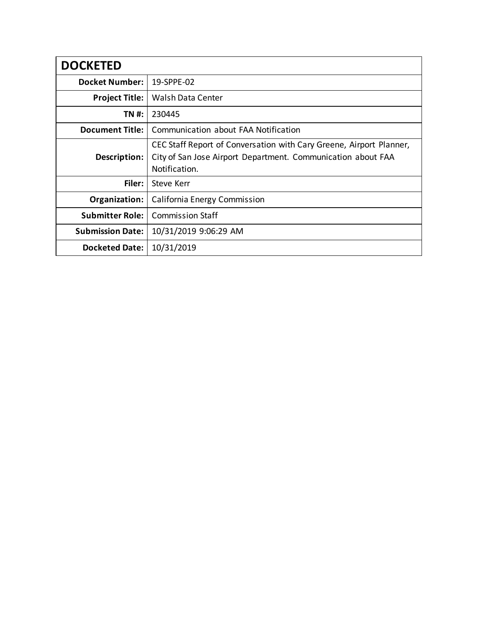| <b>DOCKETED</b>         |                                                                                                                                                      |  |  |
|-------------------------|------------------------------------------------------------------------------------------------------------------------------------------------------|--|--|
| <b>Docket Number:</b>   | 19-SPPE-02                                                                                                                                           |  |  |
| <b>Project Title:</b>   | Walsh Data Center                                                                                                                                    |  |  |
| TN #:                   | 230445                                                                                                                                               |  |  |
| <b>Document Title:</b>  | Communication about FAA Notification                                                                                                                 |  |  |
| Description:            | CEC Staff Report of Conversation with Cary Greene, Airport Planner,<br>City of San Jose Airport Department. Communication about FAA<br>Notification. |  |  |
| Filer:                  | Steve Kerr                                                                                                                                           |  |  |
| Organization:           | California Energy Commission                                                                                                                         |  |  |
| <b>Submitter Role:</b>  | <b>Commission Staff</b>                                                                                                                              |  |  |
| <b>Submission Date:</b> | 10/31/2019 9:06:29 AM                                                                                                                                |  |  |
| <b>Docketed Date:</b>   | 10/31/2019                                                                                                                                           |  |  |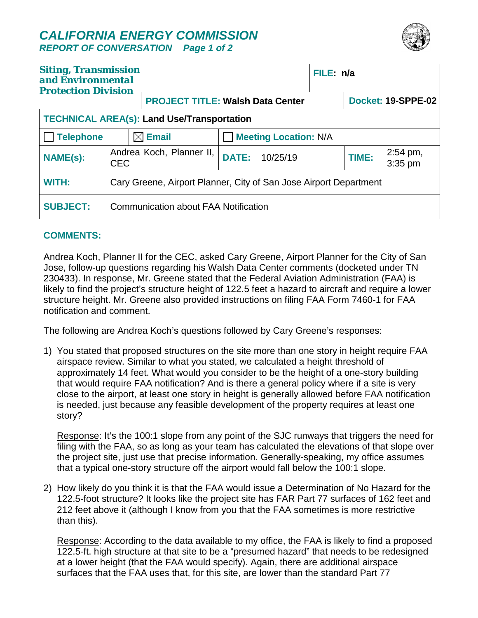## *CALIFORNIA ENERGY COMMISSION REPORT OF CONVERSATION Page 1 of 2*



| <b>Siting, Transmission</b><br>and Environmental<br><b>Protection Division</b> |                                                                   |                                         |                              | FILE: n/a |       |                                |  |
|--------------------------------------------------------------------------------|-------------------------------------------------------------------|-----------------------------------------|------------------------------|-----------|-------|--------------------------------|--|
|                                                                                |                                                                   | <b>PROJECT TITLE: Walsh Data Center</b> |                              |           |       | <b>Docket: 19-SPPE-02</b>      |  |
| <b>TECHNICAL AREA(s): Land Use/Transportation</b>                              |                                                                   |                                         |                              |           |       |                                |  |
| Telephone                                                                      |                                                                   | $\boxtimes$ Email                       | <b>Meeting Location: N/A</b> |           |       |                                |  |
| <b>NAME(s):</b>                                                                | <b>CEC</b>                                                        | Andrea Koch, Planner II,                | <b>DATE:</b><br>10/25/19     |           | TIME: | $2:54 \text{ pm}$ ,<br>3:35 pm |  |
| <b>WITH:</b>                                                                   | Cary Greene, Airport Planner, City of San Jose Airport Department |                                         |                              |           |       |                                |  |
| <b>SUBJECT:</b>                                                                |                                                                   | Communication about FAA Notification    |                              |           |       |                                |  |

## **COMMENTS:**

Andrea Koch, Planner II for the CEC, asked Cary Greene, Airport Planner for the City of San Jose, follow-up questions regarding his Walsh Data Center comments (docketed under TN 230433). In response, Mr. Greene stated that the Federal Aviation Administration (FAA) is likely to find the project's structure height of 122.5 feet a hazard to aircraft and require a lower structure height. Mr. Greene also provided instructions on filing FAA Form 7460-1 for FAA notification and comment.

The following are Andrea Koch's questions followed by Cary Greene's responses:

1) You stated that proposed structures on the site more than one story in height require FAA airspace review. Similar to what you stated, we calculated a height threshold of approximately 14 feet. What would you consider to be the height of a one-story building that would require FAA notification? And is there a general policy where if a site is very close to the airport, at least one story in height is generally allowed before FAA notification is needed, just because any feasible development of the property requires at least one story?

Response: It's the 100:1 slope from any point of the SJC runways that triggers the need for filing with the FAA, so as long as your team has calculated the elevations of that slope over the project site, just use that precise information. Generally-speaking, my office assumes that a typical one-story structure off the airport would fall below the 100:1 slope.

2) How likely do you think it is that the FAA would issue a Determination of No Hazard for the 122.5-foot structure? It looks like the project site has FAR Part 77 surfaces of 162 feet and 212 feet above it (although I know from you that the FAA sometimes is more restrictive than this).

Response: According to the data available to my office, the FAA is likely to find a proposed 122.5-ft. high structure at that site to be a "presumed hazard" that needs to be redesigned at a lower height (that the FAA would specify). Again, there are additional airspace surfaces that the FAA uses that, for this site, are lower than the standard Part 77